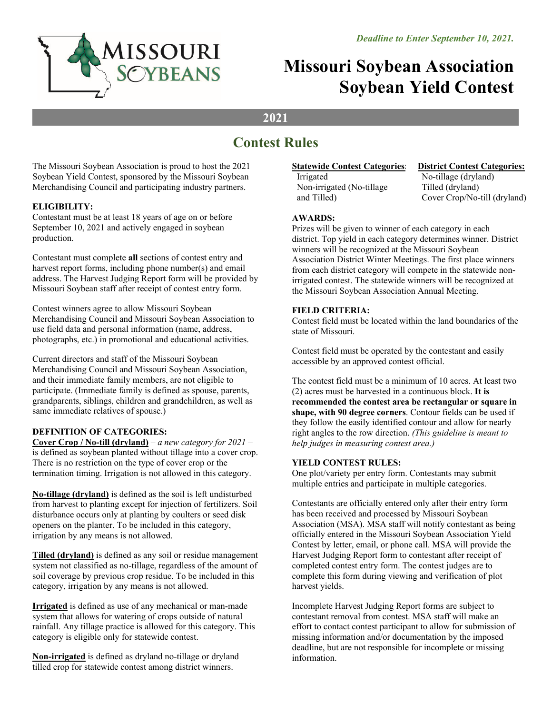

# **Missouri Soybean Association Soybean Yield Contest**

### **2021**

## **Contest Rules**

The Missouri Soybean Association is proud to host the 2021 Soybean Yield Contest, sponsored by the Missouri Soybean Merchandising Council and participating industry partners.

#### **ELIGIBILITY:**

Contestant must be at least 18 years of age on or before September 10, 2021 and actively engaged in soybean production.

Contestant must complete **all** sections of contest entry and harvest report forms, including phone number(s) and email address. The Harvest Judging Report form will be provided by Missouri Soybean staff after receipt of contest entry form.

Contest winners agree to allow Missouri Soybean Merchandising Council and Missouri Soybean Association to use field data and personal information (name, address, photographs, etc.) in promotional and educational activities.

Current directors and staff of the Missouri Soybean Merchandising Council and Missouri Soybean Association, and their immediate family members, are not eligible to participate. (Immediate family is defined as spouse, parents, grandparents, siblings, children and grandchildren, as well as same immediate relatives of spouse.)

#### **DEFINITION OF CATEGORIES:**

**Cover Crop / No-till (dryland)** – *a new category for 2021* – is defined as soybean planted without tillage into a cover crop. There is no restriction on the type of cover crop or the termination timing. Irrigation is not allowed in this category.

**No-tillage (dryland)** is defined as the soil is left undisturbed from harvest to planting except for injection of fertilizers. Soil disturbance occurs only at planting by coulters or seed disk openers on the planter. To be included in this category, irrigation by any means is not allowed.

**Tilled (dryland)** is defined as any soil or residue management system not classified as no-tillage, regardless of the amount of soil coverage by previous crop residue. To be included in this category, irrigation by any means is not allowed.

**Irrigated** is defined as use of any mechanical or man-made system that allows for watering of crops outside of natural rainfall. Any tillage practice is allowed for this category. This category is eligible only for statewide contest.

**Non-irrigated** is defined as dryland no-tillage or dryland tilled crop for statewide contest among district winners.

#### **Statewide Contest Categories:**

Irrigated Non-irrigated (No-tillage and Tilled)

**District Contest Categories:** 

No-tillage (dryland) Tilled (dryland) Cover Crop/No-till (dryland)

#### **AWARDS:**

Prizes will be given to winner of each category in each district. Top yield in each category determines winner. District winners will be recognized at the Missouri Soybean Association District Winter Meetings. The first place winners from each district category will compete in the statewide nonirrigated contest. The statewide winners will be recognized at the Missouri Soybean Association Annual Meeting.

#### **FIELD CRITERIA:**

Contest field must be located within the land boundaries of the state of Missouri.

Contest field must be operated by the contestant and easily accessible by an approved contest official.

The contest field must be a minimum of 10 acres. At least two (2) acres must be harvested in a continuous block. **It is recommended the contest area be rectangular or square in shape, with 90 degree corners**. Contour fields can be used if they follow the easily identified contour and allow for nearly right angles to the row direction. *(This guideline is meant to help judges in measuring contest area.)* 

#### **YIELD CONTEST RULES:**

One plot/variety per entry form. Contestants may submit multiple entries and participate in multiple categories.

Contestants are officially entered only after their entry form has been received and processed by Missouri Soybean Association (MSA). MSA staff will notify contestant as being officially entered in the Missouri Soybean Association Yield Contest by letter, email, or phone call. MSA will provide the Harvest Judging Report form to contestant after receipt of completed contest entry form. The contest judges are to complete this form during viewing and verification of plot harvest yields.

Incomplete Harvest Judging Report forms are subject to contestant removal from contest. MSA staff will make an effort to contact contest participant to allow for submission of missing information and/or documentation by the imposed deadline, but are not responsible for incomplete or missing information.